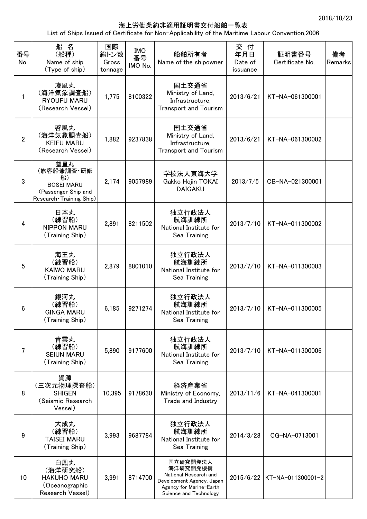## 海上労働条約非適用証明書交付船舶一覧表

List of Ships Issued of Certificate for Non-Applicability of the Maritime Labour Convention,2006

| 番号<br>No.      | 船名<br>(船種)<br>Name of ship<br>(Type of ship)                                                     | 国際<br>総トン数<br>Gross<br>tonnage | IMO<br>番号<br>IMO No. | 船舶所有者<br>Name of the shipowner                                                                                                  | 交 付<br>年月日<br>Date of<br>issuance | 証明書番号<br>Certificate No.    | 備考<br>Remarks |
|----------------|--------------------------------------------------------------------------------------------------|--------------------------------|----------------------|---------------------------------------------------------------------------------------------------------------------------------|-----------------------------------|-----------------------------|---------------|
| 1              | 凌風丸<br>(海洋気象調査船)<br>RYOUFU MARU<br>(Research Vessel)                                             | 1,775                          | 8100322              | 国土交通省<br>Ministry of Land,<br>Infrastructure,<br><b>Transport and Tourism</b>                                                   | 2013/6/21                         | KT-NA-061300001             |               |
| $\overline{2}$ | 啓風丸<br>(海洋気象調査船)<br><b>KEIFU MARU</b><br>(Research Vessel)                                       | 1,882                          | 9237838              | 国土交通省<br>Ministry of Land,<br>Infrastructure,<br><b>Transport and Tourism</b>                                                   | 2013/6/21                         | KT-NA-061300002             |               |
| 3              | 望星丸<br>(旅客船兼調査・研修<br>船)<br><b>BOSEI MARU</b><br>(Passenger Ship and<br>Research · Training Ship) | 2,174                          | 9057989              | 学校法人東海大学<br>Gakko Hojin TOKAI<br><b>DAIGAKU</b>                                                                                 | 2013/7/5                          | CB-NA-021300001             |               |
| 4              | 日本丸<br>(練習船)<br><b>NIPPON MARU</b><br>(Training Ship)                                            | 2,891                          | 8211502              | 独立行政法人<br>航海訓練所<br>National Institute for<br>Sea Training                                                                       | 2013/7/10                         | KT-NA-011300002             |               |
| 5              | 海王丸<br>(練習船)<br><b>KAIWO MARU</b><br>(Training Ship)                                             | 2,879                          | 8801010              | 独立行政法人<br>航海訓練所<br>National Institute for<br>Sea Training                                                                       | 2013/7/10                         | KT-NA-011300003             |               |
| 6              | 銀河丸<br>(練習船)<br><b>GINGA MARU</b><br>(Training Ship)                                             | 6,185                          | 9271274              | 独立行政法人<br>航海訓練所<br>National Institute for<br>Sea Training                                                                       | 2013/7/10                         | KT-NA-011300005             |               |
| 7              | 青雲丸<br>(練習船)<br><b>SEIUN MARU</b><br>(Training Ship)                                             | 5,890                          | 9177600              | 独立行政法人<br>航海訓練所<br>National Institute for<br>Sea Training                                                                       | 2013/7/10                         | KT-NA-011300006             |               |
| 8              | 資源<br>(三次元物理探査船)<br><b>SHIGEN</b><br>(Seismic Research<br>Vessel)                                | 10,395                         | 9178630              | 経済産業省<br>Ministry of Economy,<br>Trade and Industry                                                                             | 2013/11/6                         | KT-NA-041300001             |               |
| 9              | 大成丸<br>(練習船)<br><b>TAISEI MARU</b><br>(Training Ship)                                            | 3,993                          | 9687784              | 独立行政法人<br>航海訓練所<br>National Institute for<br>Sea Training                                                                       | 2014/3/28                         | CG-NA-0713001               |               |
| 10             | 白鳳丸<br>(海洋研究船)<br><b>HAKUHO MARU</b><br>(Oceanographic<br>Research Vessel)                       | 3,991                          | 8714700              | 国立研究開発法人<br>海洋研究開発機構<br>National Research and<br>Development Agency, Japan<br>Agency for Marine-Earth<br>Science and Technology |                                   | 2015/6/22 KT-NA-011300001-2 |               |